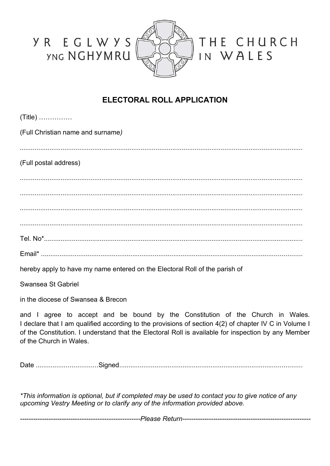

THE CHURCH

IN WALES

Y R E G L W Y S<br>
YNG NGHYMRU

# ELECTORAL ROLL APPLICATION

| $(Title)$                                                                                                                                                                                                                                                                                                                 |
|---------------------------------------------------------------------------------------------------------------------------------------------------------------------------------------------------------------------------------------------------------------------------------------------------------------------------|
| (Full Christian name and surname)                                                                                                                                                                                                                                                                                         |
|                                                                                                                                                                                                                                                                                                                           |
| (Full postal address)                                                                                                                                                                                                                                                                                                     |
|                                                                                                                                                                                                                                                                                                                           |
|                                                                                                                                                                                                                                                                                                                           |
|                                                                                                                                                                                                                                                                                                                           |
|                                                                                                                                                                                                                                                                                                                           |
|                                                                                                                                                                                                                                                                                                                           |
|                                                                                                                                                                                                                                                                                                                           |
| hereby apply to have my name entered on the Electoral Roll of the parish of                                                                                                                                                                                                                                               |
| Swansea St Gabriel                                                                                                                                                                                                                                                                                                        |
| in the diocese of Swansea & Brecon                                                                                                                                                                                                                                                                                        |
| and I agree to accept and be bound by the Constitution of the Church in Wales.<br>I declare that I am qualified according to the provisions of section 4(2) of chapter IV C in Volume I<br>of the Constitution. I understand that the Electoral Roll is available for inspection by any Member<br>of the Church in Wales. |
|                                                                                                                                                                                                                                                                                                                           |
| *This information is optional, but if completed may be used to contact you to give notice of any                                                                                                                                                                                                                          |

upcoming Vestry Meeting or to clarify any of the information provided above.

----------------------Please Return-------------